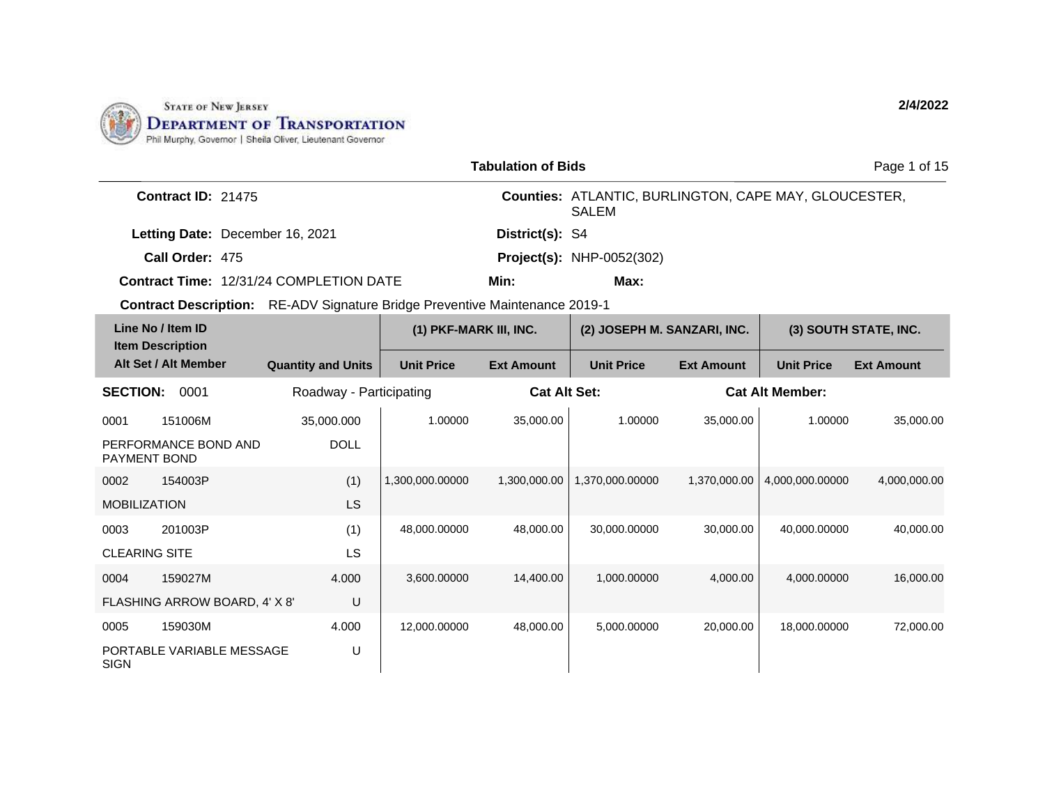

|                                                                                    |                           | <b>Tabulation of Bids</b> |                     |                                                                              |                   | Page 1 of 15           |                       |
|------------------------------------------------------------------------------------|---------------------------|---------------------------|---------------------|------------------------------------------------------------------------------|-------------------|------------------------|-----------------------|
| Contract ID: 21475                                                                 |                           |                           |                     | <b>Counties: ATLANTIC, BURLINGTON, CAPE MAY, GLOUCESTER,</b><br><b>SALEM</b> |                   |                        |                       |
| Letting Date: December 16, 2021                                                    |                           |                           | District(s): S4     |                                                                              |                   |                        |                       |
| Call Order: 475                                                                    |                           |                           |                     | <b>Project(s): NHP-0052(302)</b>                                             |                   |                        |                       |
| <b>Contract Time: 12/31/24 COMPLETION DATE</b>                                     |                           |                           | Min:                | Max:                                                                         |                   |                        |                       |
| <b>Contract Description:</b> RE-ADV Signature Bridge Preventive Maintenance 2019-1 |                           |                           |                     |                                                                              |                   |                        |                       |
| Line No / Item ID<br><b>Item Description</b>                                       |                           | (1) PKF-MARK III, INC.    |                     | (2) JOSEPH M. SANZARI, INC.                                                  |                   |                        | (3) SOUTH STATE, INC. |
| Alt Set / Alt Member                                                               | <b>Quantity and Units</b> | <b>Unit Price</b>         | <b>Ext Amount</b>   | <b>Unit Price</b>                                                            | <b>Ext Amount</b> | <b>Unit Price</b>      | <b>Ext Amount</b>     |
| <b>SECTION:</b><br>0001                                                            | Roadway - Participating   |                           | <b>Cat Alt Set:</b> |                                                                              |                   | <b>Cat Alt Member:</b> |                       |
| 151006M<br>0001                                                                    | 35,000.000                | 1.00000                   | 35,000.00           | 1.00000                                                                      | 35,000.00         | 1.00000                | 35,000.00             |
| PERFORMANCE BOND AND<br><b>PAYMENT BOND</b>                                        | <b>DOLL</b>               |                           |                     |                                                                              |                   |                        |                       |
| 154003P<br>0002                                                                    | (1)                       | 1,300,000.00000           | 1,300,000.00        | 1,370,000.00000                                                              | 1,370,000.00      | 4,000,000.00000        | 4,000,000.00          |
| <b>MOBILIZATION</b>                                                                | LS                        |                           |                     |                                                                              |                   |                        |                       |
| 201003P<br>0003                                                                    | (1)                       | 48,000.00000              | 48,000.00           | 30,000.00000                                                                 | 30,000.00         | 40,000.00000           | 40,000.00             |
| <b>CLEARING SITE</b>                                                               | LS                        |                           |                     |                                                                              |                   |                        |                       |
| 159027M<br>0004                                                                    | 4.000                     | 3,600.00000               | 14,400.00           | 1,000.00000                                                                  | 4,000.00          | 4,000.00000            | 16,000.00             |
| FLASHING ARROW BOARD, 4' X 8'                                                      | U                         |                           |                     |                                                                              |                   |                        |                       |
| 159030M<br>0005                                                                    | 4.000                     | 12,000.00000              | 48,000.00           | 5,000.00000                                                                  | 20,000.00         | 18,000.00000           | 72,000.00             |
| PORTABLE VARIABLE MESSAGE<br><b>SIGN</b>                                           | U                         |                           |                     |                                                                              |                   |                        |                       |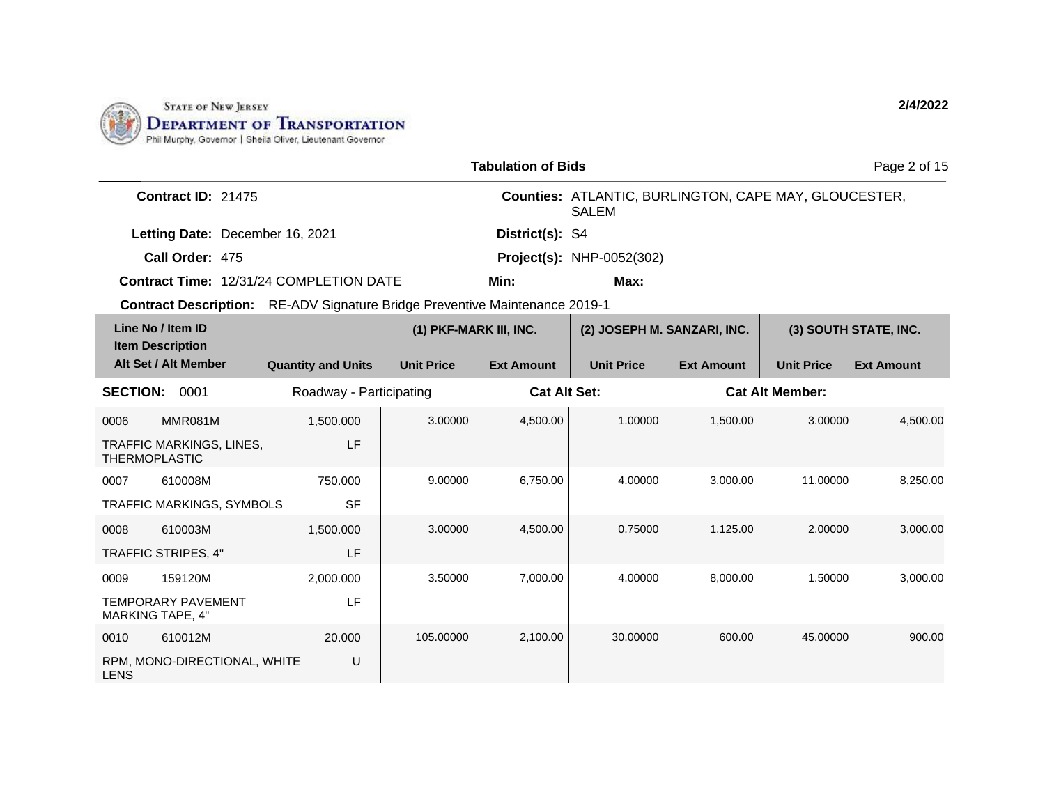

|                                              |                                                      |                                                                                    |                   | <b>Tabulation of Bids</b>   |                                                                              |                   |                        | Page 2 of 15      |
|----------------------------------------------|------------------------------------------------------|------------------------------------------------------------------------------------|-------------------|-----------------------------|------------------------------------------------------------------------------|-------------------|------------------------|-------------------|
|                                              | Contract ID: 21475                                   |                                                                                    |                   |                             | <b>Counties: ATLANTIC, BURLINGTON, CAPE MAY, GLOUCESTER,</b><br><b>SALEM</b> |                   |                        |                   |
|                                              | Letting Date: December 16, 2021                      |                                                                                    |                   | District(s): S4             |                                                                              |                   |                        |                   |
|                                              | Call Order: 475                                      |                                                                                    |                   |                             | <b>Project(s): NHP-0052(302)</b>                                             |                   |                        |                   |
|                                              |                                                      | Contract Time: 12/31/24 COMPLETION DATE                                            |                   | Min:                        | Max:                                                                         |                   |                        |                   |
|                                              |                                                      | <b>Contract Description:</b> RE-ADV Signature Bridge Preventive Maintenance 2019-1 |                   |                             |                                                                              |                   |                        |                   |
| Line No / Item ID<br><b>Item Description</b> |                                                      | (1) PKF-MARK III, INC.                                                             |                   | (2) JOSEPH M. SANZARI, INC. |                                                                              |                   | (3) SOUTH STATE, INC.  |                   |
|                                              | Alt Set / Alt Member                                 | <b>Quantity and Units</b>                                                          | <b>Unit Price</b> | <b>Ext Amount</b>           | <b>Unit Price</b>                                                            | <b>Ext Amount</b> | <b>Unit Price</b>      | <b>Ext Amount</b> |
| <b>SECTION:</b>                              | 0001                                                 | Roadway - Participating                                                            |                   | <b>Cat Alt Set:</b>         |                                                                              |                   | <b>Cat Alt Member:</b> |                   |
| 0006                                         | MMR081M                                              | 1,500.000                                                                          | 3.00000           | 4,500.00                    | 1.00000                                                                      | 1,500.00          | 3.00000                | 4,500.00          |
|                                              | TRAFFIC MARKINGS, LINES,<br><b>THERMOPLASTIC</b>     | LF                                                                                 |                   |                             |                                                                              |                   |                        |                   |
| 0007                                         | 610008M                                              | 750.000                                                                            | 9.00000           | 6,750.00                    | 4.00000                                                                      | 3,000.00          | 11.00000               | 8,250.00          |
|                                              | <b>TRAFFIC MARKINGS, SYMBOLS</b>                     | <b>SF</b>                                                                          |                   |                             |                                                                              |                   |                        |                   |
| 0008                                         | 610003M                                              | 1,500.000                                                                          | 3.00000           | 4,500.00                    | 0.75000                                                                      | 1,125.00          | 2.00000                | 3,000.00          |
|                                              | TRAFFIC STRIPES, 4"                                  | LF                                                                                 |                   |                             |                                                                              |                   |                        |                   |
| 0009                                         | 159120M                                              | 2,000.000                                                                          | 3.50000           | 7,000.00                    | 4.00000                                                                      | 8,000.00          | 1.50000                | 3,000.00          |
|                                              | <b>TEMPORARY PAVEMENT</b><br><b>MARKING TAPE, 4"</b> | LF                                                                                 |                   |                             |                                                                              |                   |                        |                   |
| 0010                                         | 610012M                                              | 20,000                                                                             | 105.00000         | 2,100.00                    | 30.00000                                                                     | 600.00            | 45.00000               | 900.00            |
| <b>LENS</b>                                  | RPM, MONO-DIRECTIONAL, WHITE                         | U                                                                                  |                   |                             |                                                                              |                   |                        |                   |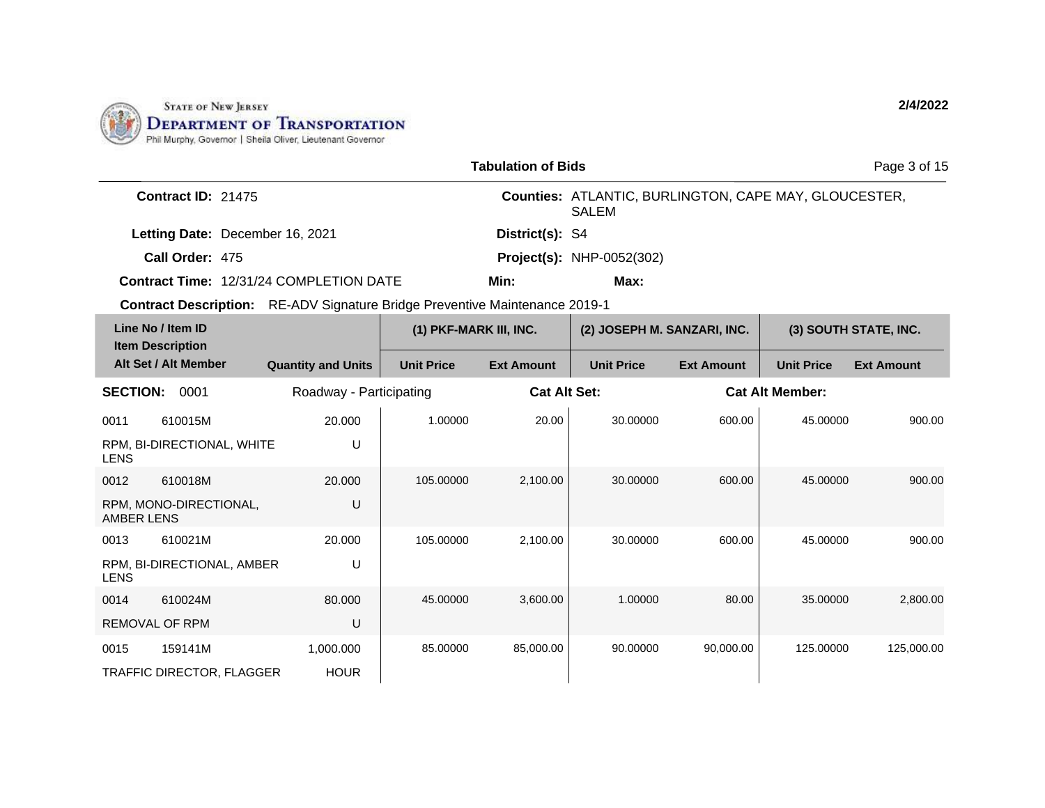

|                                                                                    |                           |                        | <b>Tabulation of Bids</b> |                                                                       |                   |                        | Page 3 of 15          |
|------------------------------------------------------------------------------------|---------------------------|------------------------|---------------------------|-----------------------------------------------------------------------|-------------------|------------------------|-----------------------|
| Contract ID: 21475                                                                 |                           |                        |                           | Counties: ATLANTIC, BURLINGTON, CAPE MAY, GLOUCESTER,<br><b>SALEM</b> |                   |                        |                       |
| Letting Date: December 16, 2021                                                    |                           |                        | District(s): S4           |                                                                       |                   |                        |                       |
| Call Order: 475                                                                    |                           |                        |                           | <b>Project(s): NHP-0052(302)</b>                                      |                   |                        |                       |
| <b>Contract Time: 12/31/24 COMPLETION DATE</b>                                     |                           |                        | Min:                      | Max:                                                                  |                   |                        |                       |
| <b>Contract Description:</b> RE-ADV Signature Bridge Preventive Maintenance 2019-1 |                           |                        |                           |                                                                       |                   |                        |                       |
| Line No / Item ID<br><b>Item Description</b>                                       |                           | (1) PKF-MARK III, INC. |                           | (2) JOSEPH M. SANZARI, INC.                                           |                   |                        | (3) SOUTH STATE, INC. |
| Alt Set / Alt Member                                                               | <b>Quantity and Units</b> | <b>Unit Price</b>      | <b>Ext Amount</b>         | <b>Unit Price</b>                                                     | <b>Ext Amount</b> | <b>Unit Price</b>      | <b>Ext Amount</b>     |
| <b>SECTION:</b><br>0001                                                            | Roadway - Participating   |                        | <b>Cat Alt Set:</b>       |                                                                       |                   | <b>Cat Alt Member:</b> |                       |
| 610015M<br>0011                                                                    | 20.000                    | 1.00000                | 20.00                     | 30.00000                                                              | 600.00            | 45.00000               | 900.00                |
| RPM, BI-DIRECTIONAL, WHITE<br><b>LENS</b>                                          | U                         |                        |                           |                                                                       |                   |                        |                       |
| 0012<br>610018M                                                                    | 20.000                    | 105.00000              | 2,100.00                  | 30.00000                                                              | 600.00            | 45.00000               | 900.00                |
| RPM, MONO-DIRECTIONAL,<br><b>AMBER LENS</b>                                        | U                         |                        |                           |                                                                       |                   |                        |                       |
| 0013<br>610021M                                                                    | 20.000                    | 105.00000              | 2,100.00                  | 30.00000                                                              | 600.00            | 45.00000               | 900.00                |
| RPM, BI-DIRECTIONAL, AMBER<br><b>LENS</b>                                          | U                         |                        |                           |                                                                       |                   |                        |                       |
| 610024M<br>0014                                                                    | 80.000                    | 45.00000               | 3,600.00                  | 1.00000                                                               | 80.00             | 35.00000               | 2,800.00              |
| REMOVAL OF RPM                                                                     | U                         |                        |                           |                                                                       |                   |                        |                       |
| 159141M<br>0015                                                                    | 1.000.000                 | 85.00000               | 85,000.00                 | 90.00000                                                              | 90.000.00         | 125.00000              | 125,000.00            |
| TRAFFIC DIRECTOR, FLAGGER                                                          | <b>HOUR</b>               |                        |                           |                                                                       |                   |                        |                       |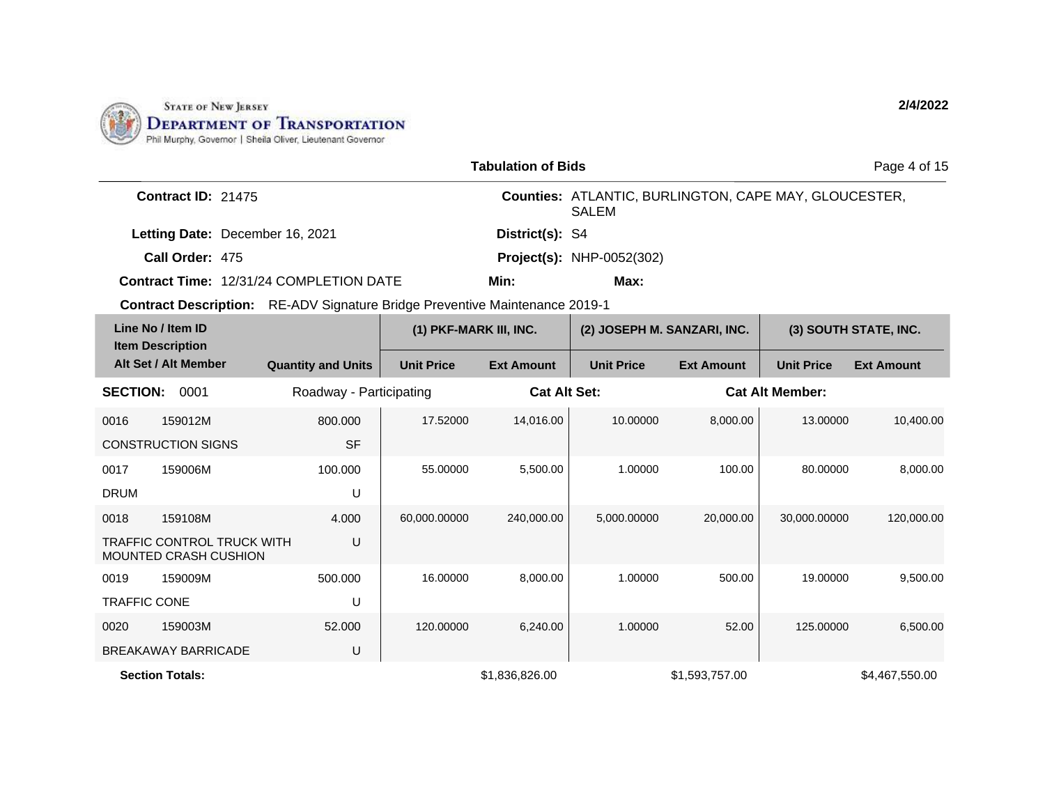

|                     |                                                                   |                                                                                    |                        | <b>Tabulation of Bids</b> |                                                                       |                   |                        | Page 4 of 15          |
|---------------------|-------------------------------------------------------------------|------------------------------------------------------------------------------------|------------------------|---------------------------|-----------------------------------------------------------------------|-------------------|------------------------|-----------------------|
|                     | Contract ID: 21475                                                |                                                                                    |                        |                           | Counties: ATLANTIC, BURLINGTON, CAPE MAY, GLOUCESTER,<br><b>SALEM</b> |                   |                        |                       |
|                     | Letting Date: December 16, 2021                                   |                                                                                    |                        | District(s): S4           |                                                                       |                   |                        |                       |
|                     | Call Order: 475                                                   |                                                                                    |                        |                           | <b>Project(s): NHP-0052(302)</b>                                      |                   |                        |                       |
|                     |                                                                   | <b>Contract Time: 12/31/24 COMPLETION DATE</b>                                     |                        | Min:                      | Max:                                                                  |                   |                        |                       |
|                     |                                                                   | <b>Contract Description:</b> RE-ADV Signature Bridge Preventive Maintenance 2019-1 |                        |                           |                                                                       |                   |                        |                       |
|                     | Line No / Item ID                                                 |                                                                                    | (1) PKF-MARK III, INC. |                           | (2) JOSEPH M. SANZARI, INC.                                           |                   |                        | (3) SOUTH STATE, INC. |
|                     | <b>Item Description</b><br>Alt Set / Alt Member                   | <b>Quantity and Units</b>                                                          | <b>Unit Price</b>      | <b>Ext Amount</b>         | <b>Unit Price</b>                                                     | <b>Ext Amount</b> | <b>Unit Price</b>      | <b>Ext Amount</b>     |
| <b>SECTION:</b>     | 0001                                                              | Roadway - Participating                                                            |                        | <b>Cat Alt Set:</b>       |                                                                       |                   | <b>Cat Alt Member:</b> |                       |
| 0016                | 159012M                                                           | 800.000                                                                            | 17.52000               | 14,016.00                 | 10.00000                                                              | 8,000.00          | 13.00000               | 10,400.00             |
|                     | <b>CONSTRUCTION SIGNS</b>                                         | <b>SF</b>                                                                          |                        |                           |                                                                       |                   |                        |                       |
| 0017                | 159006M                                                           | 100.000                                                                            | 55.00000               | 5,500.00                  | 1.00000                                                               | 100.00            | 80.00000               | 8,000.00              |
| <b>DRUM</b>         |                                                                   | U                                                                                  |                        |                           |                                                                       |                   |                        |                       |
| 0018                | 159108M                                                           | 4.000                                                                              | 60,000.00000           | 240,000.00                | 5,000.00000                                                           | 20,000.00         | 30,000.00000           | 120,000.00            |
|                     | <b>TRAFFIC CONTROL TRUCK WITH</b><br><b>MOUNTED CRASH CUSHION</b> | U                                                                                  |                        |                           |                                                                       |                   |                        |                       |
| 0019                | 159009M                                                           | 500.000                                                                            | 16.00000               | 8,000.00                  | 1.00000                                                               | 500.00            | 19.00000               | 9,500.00              |
| <b>TRAFFIC CONE</b> |                                                                   | U                                                                                  |                        |                           |                                                                       |                   |                        |                       |
| 0020                | 159003M                                                           | 52,000                                                                             | 120.00000              | 6,240.00                  | 1.00000                                                               | 52.00             | 125.00000              | 6,500.00              |
|                     | <b>BREAKAWAY BARRICADE</b>                                        | U                                                                                  |                        |                           |                                                                       |                   |                        |                       |
|                     | <b>Section Totals:</b>                                            |                                                                                    |                        | \$1,836,826,00            |                                                                       | \$1.593.757.00    |                        | \$4.467.550.00        |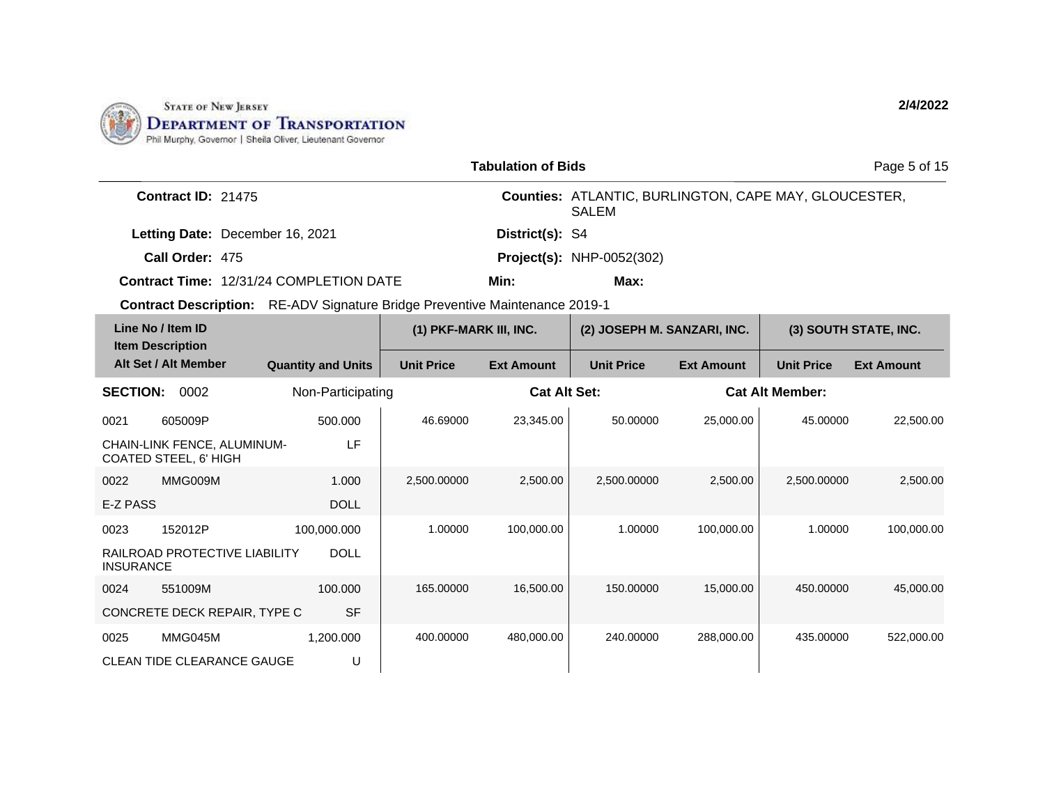

|                                              |                                                      |  |                           |                                                                                    | <b>Tabulation of Bids</b> |                                                                              |                        |                   | Page 5 of 15          |
|----------------------------------------------|------------------------------------------------------|--|---------------------------|------------------------------------------------------------------------------------|---------------------------|------------------------------------------------------------------------------|------------------------|-------------------|-----------------------|
|                                              | <b>Contract ID: 21475</b>                            |  |                           |                                                                                    |                           | <b>Counties: ATLANTIC, BURLINGTON, CAPE MAY, GLOUCESTER,</b><br><b>SALEM</b> |                        |                   |                       |
|                                              | Letting Date: December 16, 2021                      |  |                           |                                                                                    | District(s): S4           |                                                                              |                        |                   |                       |
|                                              | Call Order: 475                                      |  |                           |                                                                                    |                           | <b>Project(s): NHP-0052(302)</b>                                             |                        |                   |                       |
|                                              | Contract Time: 12/31/24 COMPLETION DATE              |  |                           |                                                                                    | Min:                      | Max:                                                                         |                        |                   |                       |
|                                              |                                                      |  |                           | <b>Contract Description:</b> RE-ADV Signature Bridge Preventive Maintenance 2019-1 |                           |                                                                              |                        |                   |                       |
|                                              | Line No / Item ID<br><b>Item Description</b>         |  |                           | (1) PKF-MARK III, INC.                                                             |                           | (2) JOSEPH M. SANZARI, INC.                                                  |                        |                   | (3) SOUTH STATE, INC. |
|                                              | Alt Set / Alt Member                                 |  | <b>Quantity and Units</b> | <b>Unit Price</b>                                                                  | <b>Ext Amount</b>         | <b>Unit Price</b>                                                            | <b>Ext Amount</b>      | <b>Unit Price</b> | <b>Ext Amount</b>     |
| <b>SECTION:</b><br>0002<br>Non-Participating |                                                      |  |                           | <b>Cat Alt Set:</b>                                                                |                           |                                                                              | <b>Cat Alt Member:</b> |                   |                       |
| 0021                                         | 605009P                                              |  | 500.000                   | 46.69000                                                                           | 23,345.00                 | 50.00000                                                                     | 25,000.00              | 45.00000          | 22,500.00             |
|                                              | CHAIN-LINK FENCE, ALUMINUM-<br>COATED STEEL, 6' HIGH |  | LF                        |                                                                                    |                           |                                                                              |                        |                   |                       |
| 0022                                         | MMG009M                                              |  | 1.000                     | 2,500.00000                                                                        | 2,500.00                  | 2,500.00000                                                                  | 2,500.00               | 2,500.00000       | 2,500.00              |
| E-Z PASS                                     |                                                      |  | <b>DOLL</b>               |                                                                                    |                           |                                                                              |                        |                   |                       |
| 0023                                         | 152012P                                              |  | 100,000.000               | 1.00000                                                                            | 100,000.00                | 1.00000                                                                      | 100,000.00             | 1.00000           | 100,000.00            |
| <b>INSURANCE</b>                             | RAILROAD PROTECTIVE LIABILITY                        |  | <b>DOLL</b>               |                                                                                    |                           |                                                                              |                        |                   |                       |
| 0024                                         | 551009M                                              |  | 100.000                   | 165.00000                                                                          | 16,500.00                 | 150.00000                                                                    | 15,000,00              | 450.00000         | 45,000.00             |
|                                              | CONCRETE DECK REPAIR, TYPE C                         |  | <b>SF</b>                 |                                                                                    |                           |                                                                              |                        |                   |                       |
| 0025                                         | MMG045M                                              |  | 1,200.000                 | 400.00000                                                                          | 480,000.00                | 240.00000                                                                    | 288,000.00             | 435.00000         | 522,000.00            |
|                                              | <b>CLEAN TIDE CLEARANCE GAUGE</b>                    |  | U                         |                                                                                    |                           |                                                                              |                        |                   |                       |

CLEAN TIDE CLEARANCE GAUGE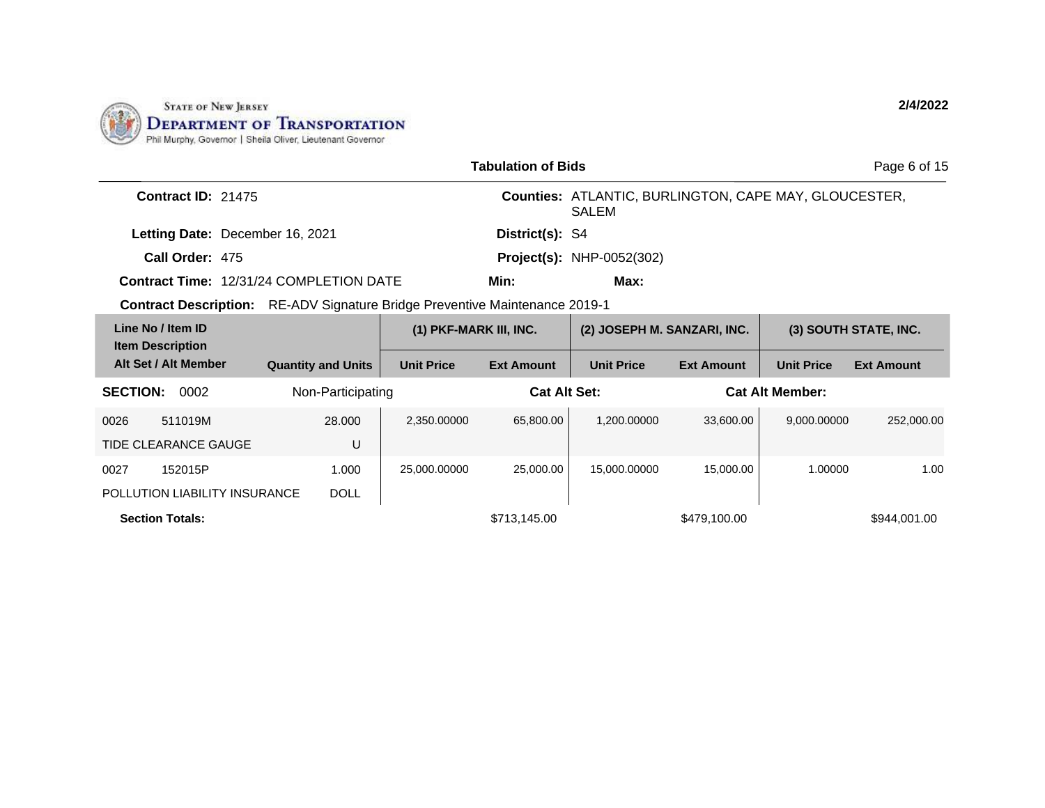

|                                                                                    |                           |                        | <b>Tabulation of Bids</b> |                                                                              |                        |                   | Page 6 of 15          |
|------------------------------------------------------------------------------------|---------------------------|------------------------|---------------------------|------------------------------------------------------------------------------|------------------------|-------------------|-----------------------|
| Contract ID: 21475                                                                 |                           |                        |                           | <b>Counties: ATLANTIC, BURLINGTON, CAPE MAY, GLOUCESTER,</b><br><b>SALEM</b> |                        |                   |                       |
| Letting Date: December 16, 2021                                                    |                           |                        | District(s): S4           |                                                                              |                        |                   |                       |
| Call Order: 475                                                                    |                           |                        |                           | <b>Project(s): NHP-0052(302)</b>                                             |                        |                   |                       |
| <b>Contract Time: 12/31/24 COMPLETION DATE</b>                                     |                           |                        | Min:                      | Max:                                                                         |                        |                   |                       |
| <b>Contract Description:</b> RE-ADV Signature Bridge Preventive Maintenance 2019-1 |                           |                        |                           |                                                                              |                        |                   |                       |
| Line No / Item ID<br><b>Item Description</b>                                       |                           | (1) PKF-MARK III, INC. |                           | (2) JOSEPH M. SANZARI, INC.                                                  |                        |                   | (3) SOUTH STATE, INC. |
| Alt Set / Alt Member                                                               | <b>Quantity and Units</b> | <b>Unit Price</b>      | <b>Ext Amount</b>         | <b>Unit Price</b>                                                            | <b>Ext Amount</b>      | <b>Unit Price</b> | <b>Ext Amount</b>     |
| <b>SECTION:</b><br>0002                                                            | Non-Participating         | <b>Cat Alt Set:</b>    |                           |                                                                              | <b>Cat Alt Member:</b> |                   |                       |
| 0026<br>511019M                                                                    | 28,000                    | 2,350.00000            | 65,800.00                 | 1,200.00000                                                                  | 33,600.00              | 9,000.00000       | 252,000.00            |
| <b>TIDE CLEARANCE GAUGE</b>                                                        | U                         |                        |                           |                                                                              |                        |                   |                       |
| 0027<br>152015P                                                                    | 1.000                     | 25,000.00000           | 25,000.00                 | 15,000.00000                                                                 | 15,000.00              | 1.00000           | 1.00                  |
| POLLUTION LIABILITY INSURANCE                                                      | <b>DOLL</b>               |                        |                           |                                                                              |                        |                   |                       |
| <b>Section Totals:</b>                                                             |                           |                        | \$713,145.00              |                                                                              | \$479,100.00           |                   | \$944,001.00          |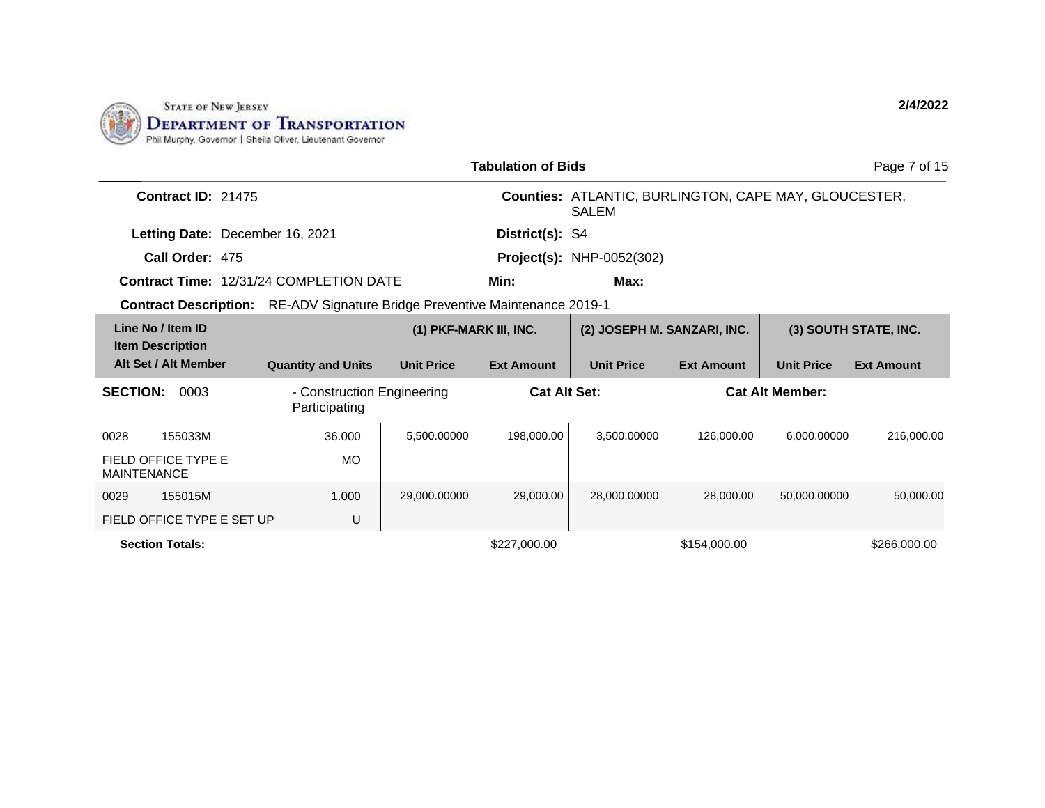

| <b>Tabulation of Bids</b>                                                          |                                             |                        |                     |                                                                       |                   |                        | Page 7 of 15          |
|------------------------------------------------------------------------------------|---------------------------------------------|------------------------|---------------------|-----------------------------------------------------------------------|-------------------|------------------------|-----------------------|
| Contract ID: 21475                                                                 |                                             |                        |                     | Counties: ATLANTIC, BURLINGTON, CAPE MAY, GLOUCESTER,<br><b>SALEM</b> |                   |                        |                       |
| Letting Date: December 16, 2021                                                    |                                             |                        | District(s): S4     |                                                                       |                   |                        |                       |
| Call Order: 475                                                                    |                                             |                        |                     | <b>Project(s): NHP-0052(302)</b>                                      |                   |                        |                       |
| <b>Contract Time: 12/31/24 COMPLETION DATE</b>                                     |                                             |                        | Min:                | Max:                                                                  |                   |                        |                       |
| <b>Contract Description:</b> RE-ADV Signature Bridge Preventive Maintenance 2019-1 |                                             |                        |                     |                                                                       |                   |                        |                       |
| Line No / Item ID<br><b>Item Description</b>                                       |                                             | (1) PKF-MARK III, INC. |                     | (2) JOSEPH M. SANZARI, INC.                                           |                   |                        | (3) SOUTH STATE, INC. |
| Alt Set / Alt Member                                                               | <b>Quantity and Units</b>                   | <b>Unit Price</b>      | <b>Ext Amount</b>   | <b>Unit Price</b>                                                     | <b>Ext Amount</b> | <b>Unit Price</b>      | <b>Ext Amount</b>     |
| 0003<br><b>SECTION:</b>                                                            | - Construction Engineering<br>Participating |                        | <b>Cat Alt Set:</b> |                                                                       |                   | <b>Cat Alt Member:</b> |                       |
| 155033M<br>0028                                                                    | 36.000                                      | 5,500.00000            | 198,000.00          | 3,500.00000                                                           | 126,000.00        | 6.000.00000            | 216,000.00            |
| FIELD OFFICE TYPE E<br><b>MAINTENANCE</b>                                          | <b>MO</b>                                   |                        |                     |                                                                       |                   |                        |                       |
| 155015M<br>0029                                                                    | 1.000                                       | 29,000.00000           | 29,000.00           | 28,000.00000                                                          | 28,000.00         | 50,000.00000           | 50,000.00             |
| FIELD OFFICE TYPE E SET UP                                                         | U                                           |                        |                     |                                                                       |                   |                        |                       |
| <b>Section Totals:</b>                                                             |                                             |                        | \$227,000.00        |                                                                       | \$154,000.00      |                        | \$266,000.00          |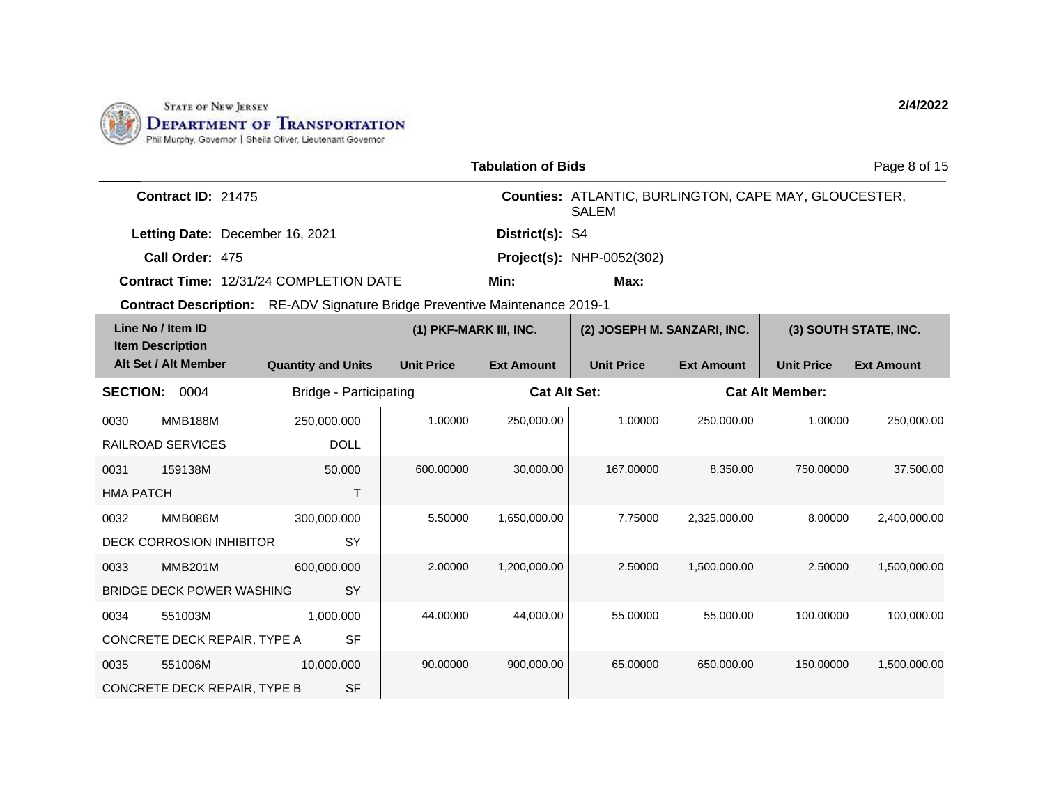

|                   |                                                 |                                                                                    |                        | <b>Tabulation of Bids</b> |                                                                              |                        |                   | Page 8 of 15          |
|-------------------|-------------------------------------------------|------------------------------------------------------------------------------------|------------------------|---------------------------|------------------------------------------------------------------------------|------------------------|-------------------|-----------------------|
|                   | <b>Contract ID: 21475</b>                       |                                                                                    |                        |                           | <b>Counties: ATLANTIC, BURLINGTON, CAPE MAY, GLOUCESTER,</b><br><b>SALEM</b> |                        |                   |                       |
|                   | Letting Date: December 16, 2021                 |                                                                                    |                        | District(s): S4           |                                                                              |                        |                   |                       |
|                   | Call Order: 475                                 |                                                                                    |                        |                           | <b>Project(s): NHP-0052(302)</b>                                             |                        |                   |                       |
|                   |                                                 | <b>Contract Time: 12/31/24 COMPLETION DATE</b>                                     |                        | Min:                      | Max:                                                                         |                        |                   |                       |
|                   |                                                 | <b>Contract Description:</b> RE-ADV Signature Bridge Preventive Maintenance 2019-1 |                        |                           |                                                                              |                        |                   |                       |
| Line No / Item ID |                                                 |                                                                                    | (1) PKF-MARK III, INC. |                           | (2) JOSEPH M. SANZARI, INC.                                                  |                        |                   | (3) SOUTH STATE, INC. |
|                   | <b>Item Description</b><br>Alt Set / Alt Member | <b>Quantity and Units</b>                                                          | <b>Unit Price</b>      | <b>Ext Amount</b>         | <b>Unit Price</b>                                                            | <b>Ext Amount</b>      | <b>Unit Price</b> | <b>Ext Amount</b>     |
|                   | SECTION: 0004<br>Bridge - Participating         |                                                                                    | <b>Cat Alt Set:</b>    |                           |                                                                              | <b>Cat Alt Member:</b> |                   |                       |
| 0030              | <b>MMB188M</b>                                  | 250,000.000                                                                        | 1.00000                | 250,000.00                | 1.00000                                                                      | 250,000.00             | 1.00000           | 250,000.00            |
|                   | RAILROAD SERVICES                               | <b>DOLL</b>                                                                        |                        |                           |                                                                              |                        |                   |                       |
| 0031              | 159138M                                         | 50.000                                                                             | 600.00000              | 30,000.00                 | 167.00000                                                                    | 8,350.00               | 750.00000         | 37,500.00             |
| <b>HMA PATCH</b>  |                                                 | T                                                                                  |                        |                           |                                                                              |                        |                   |                       |
| 0032              | <b>MMB086M</b>                                  | 300,000.000                                                                        | 5.50000                | 1,650,000.00              | 7.75000                                                                      | 2,325,000.00           | 8.00000           | 2,400,000.00          |
|                   | <b>DECK CORROSION INHIBITOR</b>                 | SY                                                                                 |                        |                           |                                                                              |                        |                   |                       |
| 0033              | <b>MMB201M</b>                                  | 600,000.000                                                                        | 2.00000                | 1,200,000.00              | 2.50000                                                                      | 1,500,000.00           | 2.50000           | 1,500,000.00          |
|                   | BRIDGE DECK POWER WASHING                       | SY                                                                                 |                        |                           |                                                                              |                        |                   |                       |
| 0034              | 551003M                                         | 1,000.000                                                                          | 44.00000               | 44.000.00                 | 55.00000                                                                     | 55.000.00              | 100.00000         | 100,000.00            |
|                   | CONCRETE DECK REPAIR, TYPE A                    | <b>SF</b>                                                                          |                        |                           |                                                                              |                        |                   |                       |
| 0035              | 551006M                                         | 10,000.000                                                                         | 90.00000               | 900,000.00                | 65.00000                                                                     | 650,000.00             | 150.00000         | 1,500,000.00          |
|                   | CONCRETE DECK REPAIR, TYPE B                    | <b>SF</b>                                                                          |                        |                           |                                                                              |                        |                   |                       |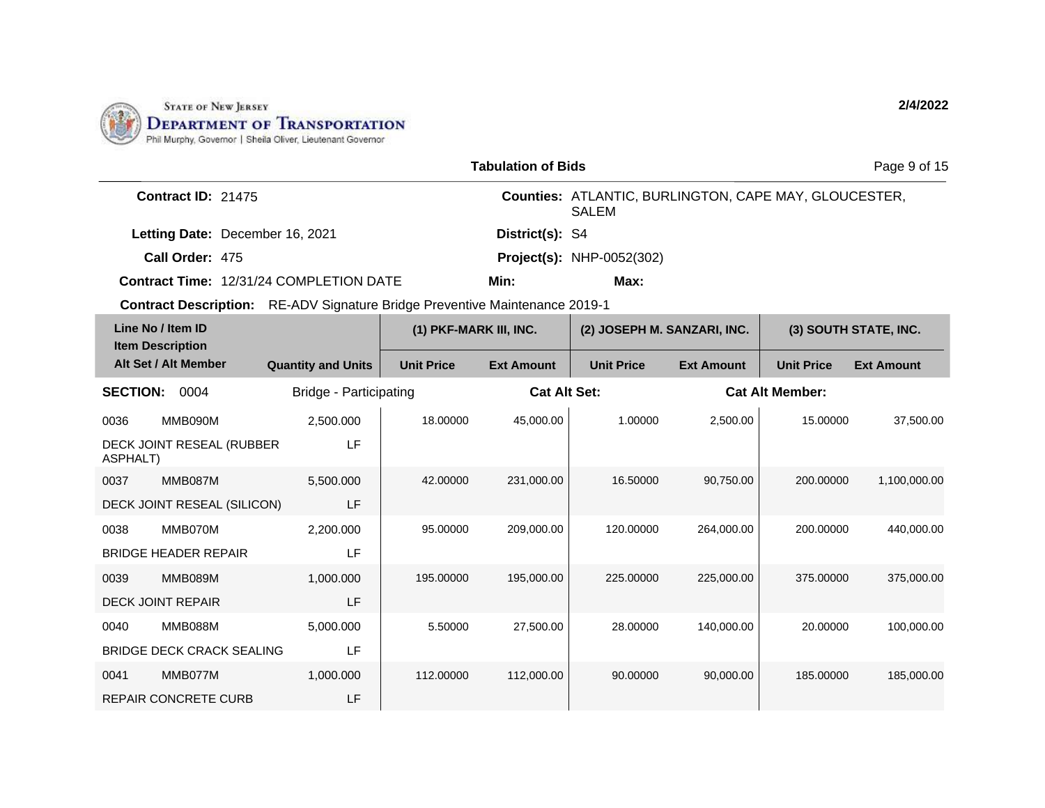

|                 |                                                                                    |                           |                        | <b>Tabulation of Bids</b> |                                                                       |                   |                        | Page 9 of 15          |
|-----------------|------------------------------------------------------------------------------------|---------------------------|------------------------|---------------------------|-----------------------------------------------------------------------|-------------------|------------------------|-----------------------|
|                 | Contract ID: 21475                                                                 |                           |                        |                           | Counties: ATLANTIC, BURLINGTON, CAPE MAY, GLOUCESTER,<br><b>SALEM</b> |                   |                        |                       |
|                 | Letting Date: December 16, 2021                                                    |                           |                        | District(s): S4           |                                                                       |                   |                        |                       |
|                 | Call Order: 475                                                                    |                           |                        |                           | <b>Project(s): NHP-0052(302)</b>                                      |                   |                        |                       |
|                 | <b>Contract Time: 12/31/24 COMPLETION DATE</b>                                     |                           |                        | Min:                      | Max:                                                                  |                   |                        |                       |
|                 | <b>Contract Description:</b> RE-ADV Signature Bridge Preventive Maintenance 2019-1 |                           |                        |                           |                                                                       |                   |                        |                       |
|                 | Line No / Item ID<br><b>Item Description</b>                                       |                           | (1) PKF-MARK III, INC. |                           | (2) JOSEPH M. SANZARI, INC.                                           |                   |                        | (3) SOUTH STATE, INC. |
|                 | Alt Set / Alt Member                                                               | <b>Quantity and Units</b> | <b>Unit Price</b>      | <b>Ext Amount</b>         | <b>Unit Price</b>                                                     | <b>Ext Amount</b> | <b>Unit Price</b>      | <b>Ext Amount</b>     |
| <b>SECTION:</b> | 0004                                                                               | Bridge - Participating    |                        | <b>Cat Alt Set:</b>       |                                                                       |                   | <b>Cat Alt Member:</b> |                       |
| 0036            | MMB090M                                                                            | 2,500.000                 | 18.00000               | 45,000.00                 | 1.00000                                                               | 2,500.00          | 15.00000               | 37,500.00             |
| <b>ASPHALT)</b> | DECK JOINT RESEAL (RUBBER                                                          | LF                        |                        |                           |                                                                       |                   |                        |                       |
| 0037            | MMB087M                                                                            | 5,500.000                 | 42.00000               | 231,000.00                | 16.50000                                                              | 90,750.00         | 200.00000              | 1,100,000.00          |
|                 | DECK JOINT RESEAL (SILICON)                                                        | LF                        |                        |                           |                                                                       |                   |                        |                       |
| 0038            | MMB070M                                                                            | 2,200.000                 | 95.00000               | 209,000.00                | 120.00000                                                             | 264,000.00        | 200.00000              | 440.000.00            |
|                 | <b>BRIDGE HEADER REPAIR</b>                                                        | LF                        |                        |                           |                                                                       |                   |                        |                       |
| 0039            | MMB089M                                                                            | 1,000.000                 | 195.00000              | 195,000.00                | 225.00000                                                             | 225,000.00        | 375.00000              | 375,000.00            |
|                 | <b>DECK JOINT REPAIR</b>                                                           | LF                        |                        |                           |                                                                       |                   |                        |                       |
| 0040            | MMB088M                                                                            | 5,000.000                 | 5.50000                | 27,500.00                 | 28.00000                                                              | 140,000.00        | 20.00000               | 100,000.00            |
|                 | <b>BRIDGE DECK CRACK SEALING</b>                                                   | LF                        |                        |                           |                                                                       |                   |                        |                       |
| 0041            | MMB077M                                                                            | 1,000.000                 | 112.00000              | 112,000.00                | 90.00000                                                              | 90,000.00         | 185.00000              | 185,000.00            |
|                 | <b>REPAIR CONCRETE CURB</b>                                                        | LF                        |                        |                           |                                                                       |                   |                        |                       |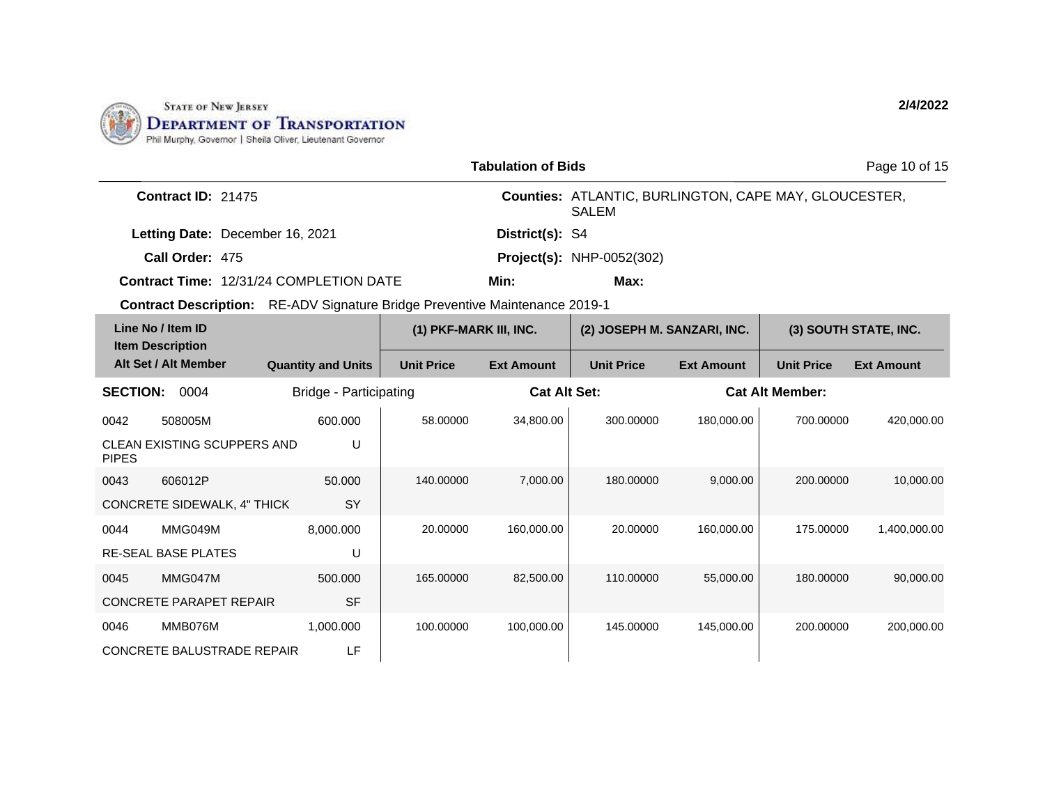

| <b>Tabulation of Bids</b>                    |                                 |                                                                                    |                        |                   |                                                                       |                        | Page 10 of 15     |                       |
|----------------------------------------------|---------------------------------|------------------------------------------------------------------------------------|------------------------|-------------------|-----------------------------------------------------------------------|------------------------|-------------------|-----------------------|
|                                              | Contract ID: 21475              |                                                                                    |                        |                   | Counties: ATLANTIC, BURLINGTON, CAPE MAY, GLOUCESTER,<br><b>SALEM</b> |                        |                   |                       |
|                                              | Letting Date: December 16, 2021 |                                                                                    |                        | District(s): S4   |                                                                       |                        |                   |                       |
| Call Order: 475                              |                                 |                                                                                    |                        |                   | <b>Project(s): NHP-0052(302)</b>                                      |                        |                   |                       |
|                                              |                                 | <b>Contract Time: 12/31/24 COMPLETION DATE</b>                                     |                        | Min:              | Max:                                                                  |                        |                   |                       |
|                                              |                                 | <b>Contract Description:</b> RE-ADV Signature Bridge Preventive Maintenance 2019-1 |                        |                   |                                                                       |                        |                   |                       |
| Line No / Item ID<br><b>Item Description</b> |                                 |                                                                                    | (1) PKF-MARK III, INC. |                   | (2) JOSEPH M. SANZARI, INC.                                           |                        |                   | (3) SOUTH STATE, INC. |
| Alt Set / Alt Member                         |                                 | <b>Quantity and Units</b>                                                          | <b>Unit Price</b>      | <b>Ext Amount</b> | <b>Unit Price</b>                                                     | <b>Ext Amount</b>      | <b>Unit Price</b> | <b>Ext Amount</b>     |
| <b>SECTION:</b><br>0004                      |                                 | Bridge - Participating                                                             | <b>Cat Alt Set:</b>    |                   |                                                                       | <b>Cat Alt Member:</b> |                   |                       |
| 508005M<br>0042                              |                                 | 600.000                                                                            | 58.00000               | 34,800.00         | 300.00000                                                             | 180.000.00             | 700.00000         | 420.000.00            |
| CLEAN EXISTING SCUPPERS AND<br><b>PIPES</b>  |                                 | U                                                                                  |                        |                   |                                                                       |                        |                   |                       |
| 0043<br>606012P                              |                                 | 50.000                                                                             | 140.00000              | 7,000.00          | 180.00000                                                             | 9,000.00               | 200.00000         | 10,000.00             |
| CONCRETE SIDEWALK, 4" THICK                  |                                 | <b>SY</b>                                                                          |                        |                   |                                                                       |                        |                   |                       |
| MMG049M<br>0044                              |                                 | 8,000.000                                                                          | 20.00000               | 160,000.00        | 20.00000                                                              | 160,000.00             | 175.00000         | 1,400,000.00          |
| <b>RE-SEAL BASE PLATES</b>                   |                                 | U                                                                                  |                        |                   |                                                                       |                        |                   |                       |
| MMG047M<br>0045                              |                                 | 500.000                                                                            | 165.00000              | 82,500.00         | 110.00000                                                             | 55,000.00              | 180.00000         | 90,000.00             |
| <b>CONCRETE PARAPET REPAIR</b>               |                                 | <b>SF</b>                                                                          |                        |                   |                                                                       |                        |                   |                       |
| MMB076M<br>0046                              |                                 | 1,000.000                                                                          | 100.00000              | 100,000.00        | 145.00000                                                             | 145,000.00             | 200.00000         | 200,000.00            |
| <b>CONCRETE BALUSTRADE REPAIR</b>            |                                 | LF                                                                                 |                        |                   |                                                                       |                        |                   |                       |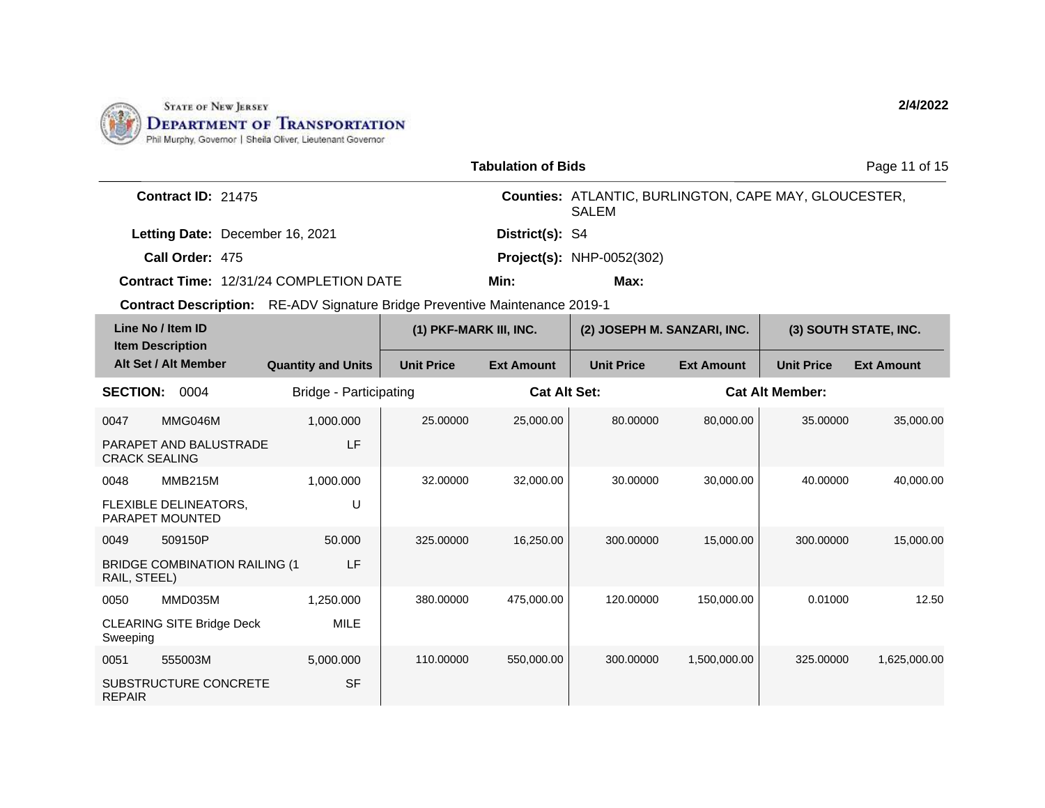

|                                                                                    |                           |                        | <b>Tabulation of Bids</b> |                                                                              |                   |                        | Page 11 of 15         |
|------------------------------------------------------------------------------------|---------------------------|------------------------|---------------------------|------------------------------------------------------------------------------|-------------------|------------------------|-----------------------|
| <b>Contract ID: 21475</b>                                                          |                           |                        |                           | <b>Counties: ATLANTIC, BURLINGTON, CAPE MAY, GLOUCESTER,</b><br><b>SALEM</b> |                   |                        |                       |
| Letting Date: December 16, 2021                                                    |                           |                        | District(s): S4           |                                                                              |                   |                        |                       |
| Call Order: 475                                                                    |                           |                        |                           | <b>Project(s): NHP-0052(302)</b>                                             |                   |                        |                       |
| <b>Contract Time: 12/31/24 COMPLETION DATE</b>                                     |                           |                        | Min:                      | Max:                                                                         |                   |                        |                       |
| <b>Contract Description:</b> RE-ADV Signature Bridge Preventive Maintenance 2019-1 |                           |                        |                           |                                                                              |                   |                        |                       |
| Line No / Item ID<br><b>Item Description</b>                                       |                           | (1) PKF-MARK III, INC. |                           | (2) JOSEPH M. SANZARI, INC.                                                  |                   |                        | (3) SOUTH STATE, INC. |
| Alt Set / Alt Member                                                               | <b>Quantity and Units</b> | <b>Unit Price</b>      | <b>Ext Amount</b>         | <b>Unit Price</b>                                                            | <b>Ext Amount</b> | <b>Unit Price</b>      | <b>Ext Amount</b>     |
| <b>SECTION:</b><br>0004                                                            | Bridge - Participating    |                        | <b>Cat Alt Set:</b>       |                                                                              |                   | <b>Cat Alt Member:</b> |                       |
| MMG046M<br>0047                                                                    | 1,000.000                 | 25.00000               | 25,000.00                 | 80.00000                                                                     | 80,000.00         | 35.00000               | 35,000.00             |
| PARAPET AND BALUSTRADE<br><b>CRACK SEALING</b>                                     | LF                        |                        |                           |                                                                              |                   |                        |                       |
| 0048<br>MMB215M                                                                    | 1,000.000                 | 32.00000               | 32,000.00                 | 30.00000                                                                     | 30,000.00         | 40.00000               | 40,000.00             |
| FLEXIBLE DELINEATORS,<br>PARAPET MOUNTED                                           | U                         |                        |                           |                                                                              |                   |                        |                       |
| 509150P<br>0049                                                                    | 50,000                    | 325.00000              | 16,250.00                 | 300.00000                                                                    | 15,000.00         | 300.00000              | 15,000.00             |
| <b>BRIDGE COMBINATION RAILING (1</b><br>RAIL, STEEL)                               | LF                        |                        |                           |                                                                              |                   |                        |                       |
| MMD035M<br>0050                                                                    | 1,250.000                 | 380.00000              | 475,000.00                | 120.00000                                                                    | 150,000.00        | 0.01000                | 12.50                 |
| <b>CLEARING SITE Bridge Deck</b><br>Sweeping                                       | <b>MILE</b>               |                        |                           |                                                                              |                   |                        |                       |
| 555003M<br>0051                                                                    | 5,000.000                 | 110.00000              | 550,000.00                | 300.00000                                                                    | 1,500,000.00      | 325,00000              | 1,625,000.00          |
| SUBSTRUCTURE CONCRETE<br><b>REPAIR</b>                                             | <b>SF</b>                 |                        |                           |                                                                              |                   |                        |                       |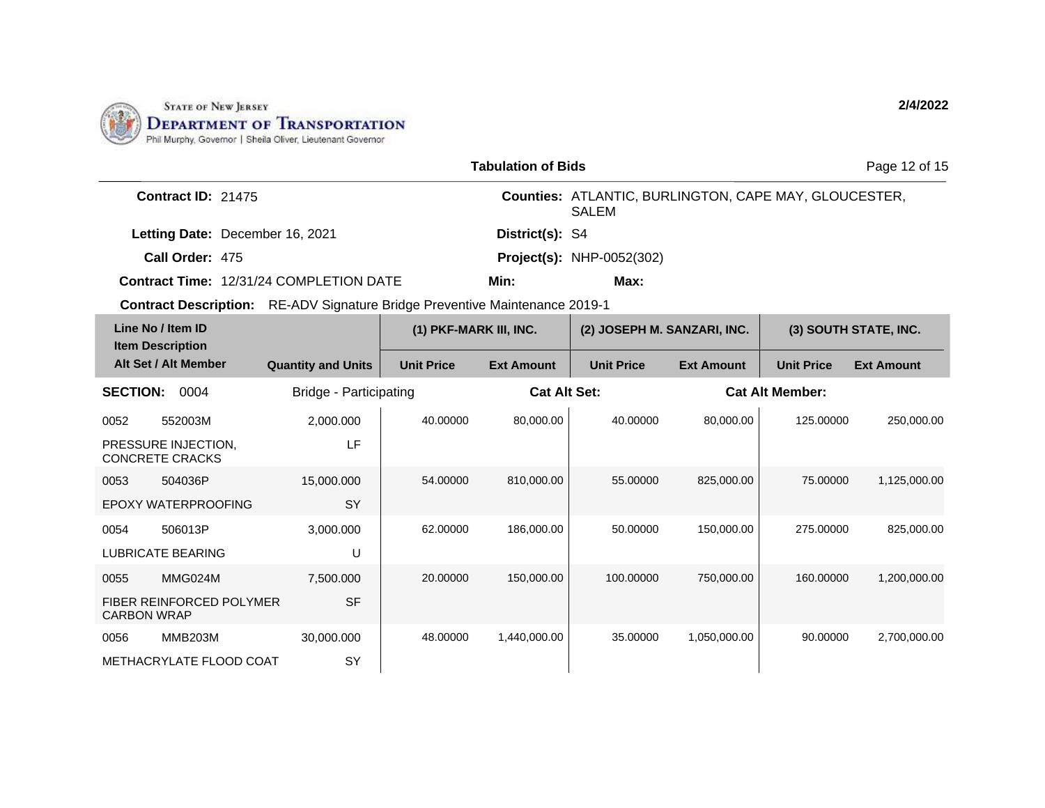

| <b>Tabulation of Bids</b><br>Page 12 of 15 |                                               |                                                                                    |                        |                   |                                                                       |                   |                        |                       |
|--------------------------------------------|-----------------------------------------------|------------------------------------------------------------------------------------|------------------------|-------------------|-----------------------------------------------------------------------|-------------------|------------------------|-----------------------|
|                                            | Contract ID: 21475                            |                                                                                    |                        |                   | Counties: ATLANTIC, BURLINGTON, CAPE MAY, GLOUCESTER,<br><b>SALEM</b> |                   |                        |                       |
|                                            | Letting Date: December 16, 2021               |                                                                                    |                        | District(s): S4   |                                                                       |                   |                        |                       |
|                                            | Call Order: 475                               |                                                                                    |                        |                   | <b>Project(s): NHP-0052(302)</b>                                      |                   |                        |                       |
|                                            |                                               | <b>Contract Time: 12/31/24 COMPLETION DATE</b>                                     |                        | Min:              | Max:                                                                  |                   |                        |                       |
|                                            |                                               | <b>Contract Description:</b> RE-ADV Signature Bridge Preventive Maintenance 2019-1 |                        |                   |                                                                       |                   |                        |                       |
|                                            | Line No / Item ID<br><b>Item Description</b>  |                                                                                    | (1) PKF-MARK III, INC. |                   | (2) JOSEPH M. SANZARI, INC.                                           |                   |                        | (3) SOUTH STATE, INC. |
|                                            | Alt Set / Alt Member                          | <b>Quantity and Units</b>                                                          | <b>Unit Price</b>      | <b>Ext Amount</b> | <b>Unit Price</b>                                                     | <b>Ext Amount</b> | <b>Unit Price</b>      | <b>Ext Amount</b>     |
| <b>SECTION:</b>                            | 0004                                          | Bridge - Participating                                                             |                        |                   | <b>Cat Alt Set:</b>                                                   |                   | <b>Cat Alt Member:</b> |                       |
| 0052                                       | 552003M                                       | 2,000.000                                                                          | 40.00000               | 80,000.00         | 40.00000                                                              | 80,000.00         | 125.00000              | 250,000.00            |
|                                            | PRESSURE INJECTION,<br><b>CONCRETE CRACKS</b> | LF                                                                                 |                        |                   |                                                                       |                   |                        |                       |
| 0053                                       | 504036P                                       | 15,000.000                                                                         | 54.00000               | 810,000.00        | 55.00000                                                              | 825,000.00        | 75.00000               | 1,125,000.00          |
|                                            | EPOXY WATERPROOFING                           | SY                                                                                 |                        |                   |                                                                       |                   |                        |                       |
| 0054                                       | 506013P                                       | 3,000.000                                                                          | 62.00000               | 186,000.00        | 50.00000                                                              | 150,000.00        | 275.00000              | 825.000.00            |
|                                            | <b>LUBRICATE BEARING</b>                      | U                                                                                  |                        |                   |                                                                       |                   |                        |                       |
| 0055                                       | MMG024M                                       | 7,500.000                                                                          | 20.00000               | 150,000.00        | 100.00000                                                             | 750,000.00        | 160.00000              | 1,200,000.00          |
| <b>CARBON WRAP</b>                         | FIBER REINFORCED POLYMER                      | <b>SF</b>                                                                          |                        |                   |                                                                       |                   |                        |                       |
| 0056                                       | <b>MMB203M</b>                                | 30,000.000                                                                         | 48.00000               | 1,440,000.00      | 35.00000                                                              | 1,050,000.00      | 90.00000               | 2,700,000.00          |
|                                            | METHACRYLATE FLOOD COAT                       | SY                                                                                 |                        |                   |                                                                       |                   |                        |                       |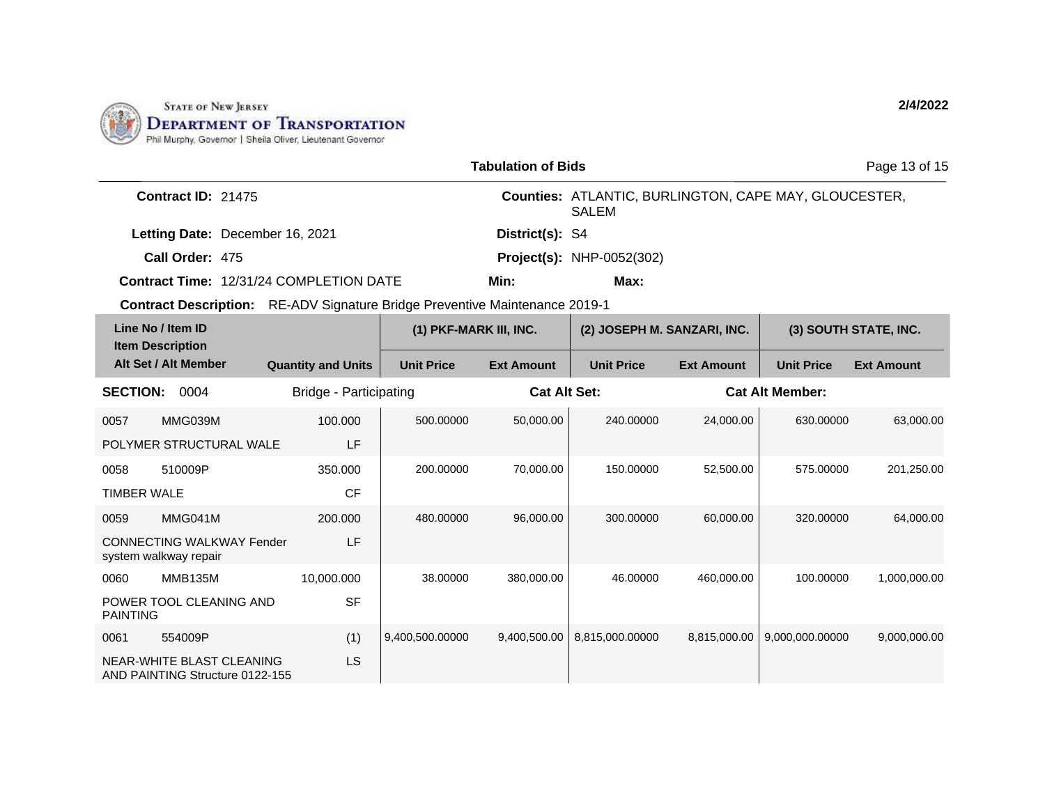

|                                                |                                                                             |                           |                        | <b>Tabulation of Bids</b>                                                    |                                  |                   |                       | Page 13 of 15     |  |
|------------------------------------------------|-----------------------------------------------------------------------------|---------------------------|------------------------|------------------------------------------------------------------------------|----------------------------------|-------------------|-----------------------|-------------------|--|
| <b>Contract ID: 21475</b>                      |                                                                             |                           |                        | <b>Counties: ATLANTIC, BURLINGTON, CAPE MAY, GLOUCESTER,</b><br><b>SALEM</b> |                                  |                   |                       |                   |  |
|                                                | Letting Date: December 16, 2021                                             |                           |                        | District(s): S4                                                              |                                  |                   |                       |                   |  |
|                                                | Call Order: 475                                                             |                           |                        |                                                                              | <b>Project(s): NHP-0052(302)</b> |                   |                       |                   |  |
|                                                | <b>Contract Time: 12/31/24 COMPLETION DATE</b>                              |                           |                        | Min:                                                                         | Max:                             |                   |                       |                   |  |
|                                                | Contract Description: RE-ADV Signature Bridge Preventive Maintenance 2019-1 |                           |                        |                                                                              |                                  |                   |                       |                   |  |
| Line No / Item ID                              |                                                                             |                           | (1) PKF-MARK III, INC. |                                                                              | (2) JOSEPH M. SANZARI, INC.      |                   | (3) SOUTH STATE, INC. |                   |  |
|                                                | <b>Item Description</b><br>Alt Set / Alt Member                             | <b>Quantity and Units</b> | <b>Unit Price</b>      | <b>Ext Amount</b>                                                            | <b>Unit Price</b>                | <b>Ext Amount</b> | <b>Unit Price</b>     | <b>Ext Amount</b> |  |
| <b>SECTION: 0004</b><br>Bridge - Participating |                                                                             | <b>Cat Alt Set:</b>       |                        | <b>Cat Alt Member:</b>                                                       |                                  |                   |                       |                   |  |
| 0057                                           | MMG039M                                                                     | 100.000                   | 500.00000              | 50,000.00                                                                    | 240.00000                        | 24,000.00         | 630.00000             | 63,000.00         |  |
|                                                | POLYMER STRUCTURAL WALE                                                     | LF                        |                        |                                                                              |                                  |                   |                       |                   |  |
| 0058                                           | 510009P                                                                     | 350.000                   | 200.00000              | 70,000.00                                                                    | 150.00000                        | 52,500.00         | 575.00000             | 201,250.00        |  |
| <b>TIMBER WALE</b>                             |                                                                             | <b>CF</b>                 |                        |                                                                              |                                  |                   |                       |                   |  |
| 0059                                           | MMG041M                                                                     | 200.000                   | 480.00000              | 96,000.00                                                                    | 300.00000                        | 60,000.00         | 320.00000             | 64,000.00         |  |
|                                                | <b>CONNECTING WALKWAY Fender</b><br>system walkway repair                   | LF                        |                        |                                                                              |                                  |                   |                       |                   |  |
| 0060                                           | <b>MMB135M</b>                                                              | 10,000.000                | 38,00000               | 380,000.00                                                                   | 46.00000                         | 460,000.00        | 100.00000             | 1,000,000.00      |  |
| <b>PAINTING</b>                                | POWER TOOL CLEANING AND                                                     | <b>SF</b>                 |                        |                                                                              |                                  |                   |                       |                   |  |
| 0061                                           | 554009P                                                                     | (1)                       | 9,400,500.00000        | 9,400,500.00                                                                 | 8,815,000.00000                  | 8,815,000.00      | 9,000,000.00000       | 9,000,000.00      |  |
|                                                | NEAR-WHITE BLAST CLEANING<br>AND PAINTING Structure 0122-155                | LS                        |                        |                                                                              |                                  |                   |                       |                   |  |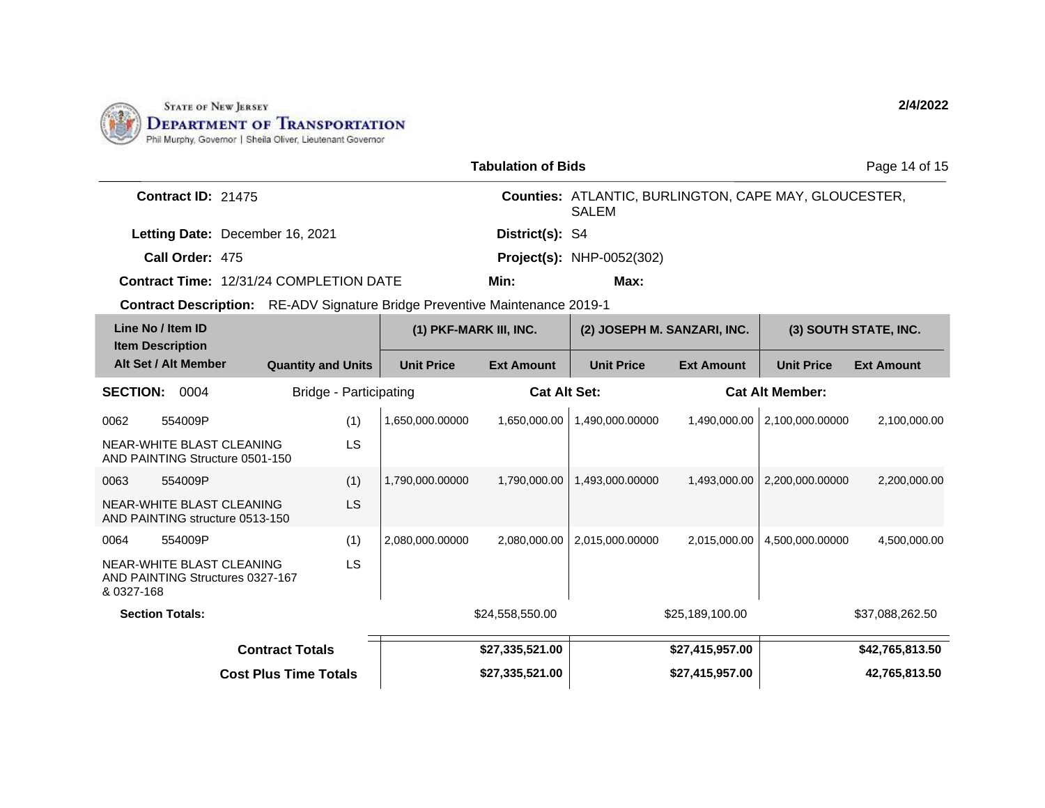

|                                                   |                                                                                    |                           |                        | <b>Tabulation of Bids</b> |                                                                              |                   |                       | Page 14 of 15     |
|---------------------------------------------------|------------------------------------------------------------------------------------|---------------------------|------------------------|---------------------------|------------------------------------------------------------------------------|-------------------|-----------------------|-------------------|
| <b>Contract ID: 21475</b>                         |                                                                                    |                           |                        |                           | <b>Counties: ATLANTIC, BURLINGTON, CAPE MAY, GLOUCESTER,</b><br><b>SALEM</b> |                   |                       |                   |
| Letting Date: December 16, 2021                   |                                                                                    |                           | District(s): S4        |                           |                                                                              |                   |                       |                   |
| Call Order: 475                                   |                                                                                    |                           |                        |                           | <b>Project(s): NHP-0052(302)</b>                                             |                   |                       |                   |
| <b>Contract Time: 12/31/24 COMPLETION DATE</b>    |                                                                                    |                           | Min:                   | Max:                      |                                                                              |                   |                       |                   |
|                                                   | <b>Contract Description:</b> RE-ADV Signature Bridge Preventive Maintenance 2019-1 |                           |                        |                           |                                                                              |                   |                       |                   |
|                                                   | Line No / Item ID                                                                  |                           | (1) PKF-MARK III, INC. |                           | (2) JOSEPH M. SANZARI, INC.                                                  |                   | (3) SOUTH STATE, INC. |                   |
|                                                   | <b>Item Description</b><br>Alt Set / Alt Member                                    | <b>Quantity and Units</b> | <b>Unit Price</b>      | <b>Ext Amount</b>         | <b>Unit Price</b>                                                            | <b>Ext Amount</b> | <b>Unit Price</b>     | <b>Ext Amount</b> |
| <b>SECTION:</b><br>0004<br>Bridge - Participating |                                                                                    | <b>Cat Alt Set:</b>       |                        | <b>Cat Alt Member:</b>    |                                                                              |                   |                       |                   |
| 0062                                              | 554009P                                                                            | (1)                       | 1,650,000.00000        | 1,650,000.00              | 1.490.000.00000                                                              | 1.490.000.00      | 2,100,000.00000       | 2,100,000.00      |
|                                                   | NEAR-WHITE BLAST CLEANING<br>AND PAINTING Structure 0501-150                       | LS                        |                        |                           |                                                                              |                   |                       |                   |
| 0063                                              | 554009P                                                                            | (1)                       | 1,790,000.00000        | 1,790,000.00              | 1,493,000.00000                                                              | 1,493,000.00      | 2,200,000.00000       | 2,200,000.00      |
|                                                   | NEAR-WHITE BLAST CLEANING<br>AND PAINTING structure 0513-150                       | LS                        |                        |                           |                                                                              |                   |                       |                   |
| 0064                                              | 554009P                                                                            | (1)                       | 2,080,000.00000        | 2,080,000.00              | 2,015,000.00000                                                              | 2,015,000.00      | 4,500,000.00000       | 4,500,000.00      |
| & 0327-168                                        | NEAR-WHITE BLAST CLEANING<br>AND PAINTING Structures 0327-167                      | LS                        |                        |                           |                                                                              |                   |                       |                   |
| <b>Section Totals:</b>                            |                                                                                    |                           | \$24,558,550.00        |                           | \$25,189,100.00                                                              |                   | \$37,088,262.50       |                   |
| <b>Contract Totals</b>                            |                                                                                    |                           | \$27,335,521.00        |                           | \$27,415,957.00                                                              | \$42,765,813.50   |                       |                   |
| <b>Cost Plus Time Totals</b>                      |                                                                                    |                           |                        | \$27,335,521.00           |                                                                              | \$27,415,957.00   |                       | 42,765,813.50     |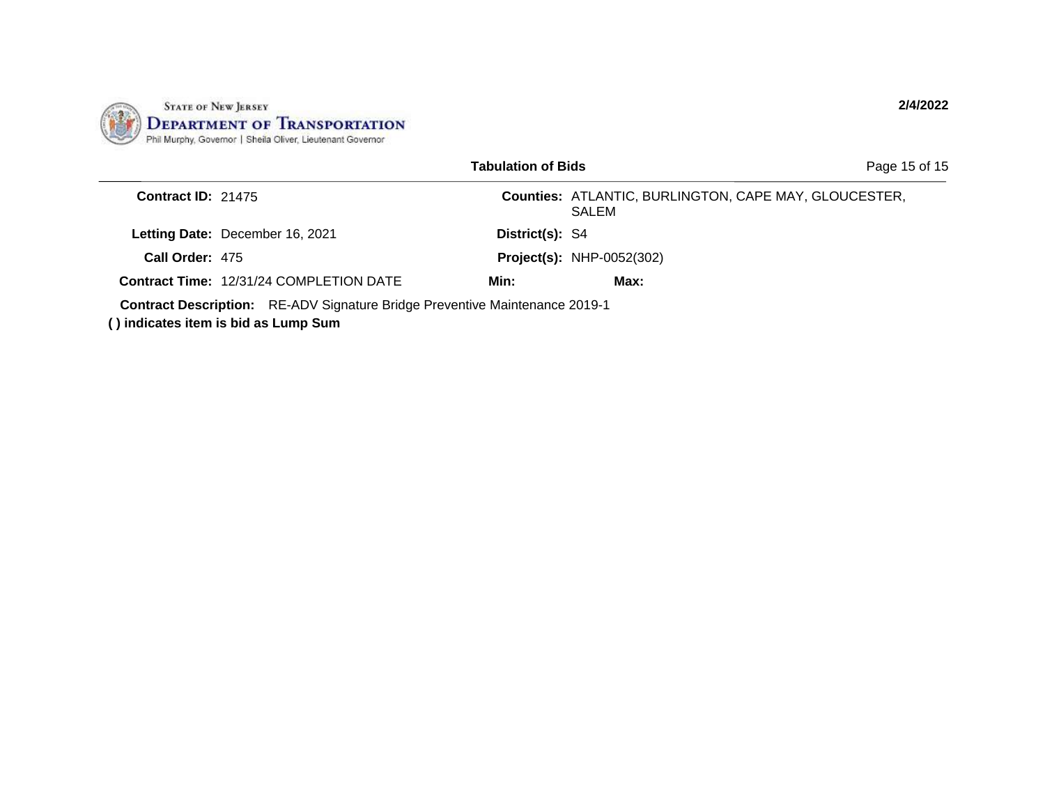

|                           |                                                                                                                            | <b>Tabulation of Bids</b> |                                                                       | Page 15 of 15 |
|---------------------------|----------------------------------------------------------------------------------------------------------------------------|---------------------------|-----------------------------------------------------------------------|---------------|
| <b>Contract ID: 21475</b> |                                                                                                                            |                           | <b>Counties: ATLANTIC, BURLINGTON, CAPE MAY, GLOUCESTER,</b><br>SALEM |               |
|                           | Letting Date: December 16, 2021                                                                                            | District(s): S4           |                                                                       |               |
| Call Order: 475           |                                                                                                                            |                           | <b>Project(s): NHP-0052(302)</b>                                      |               |
|                           | <b>Contract Time: 12/31/24 COMPLETION DATE</b>                                                                             | Min:                      | Max:                                                                  |               |
|                           | <b>Contract Description:</b> RE-ADV Signature Bridge Preventive Maintenance 2019-1<br>() indicates item is bid as Lump Sum |                           |                                                                       |               |